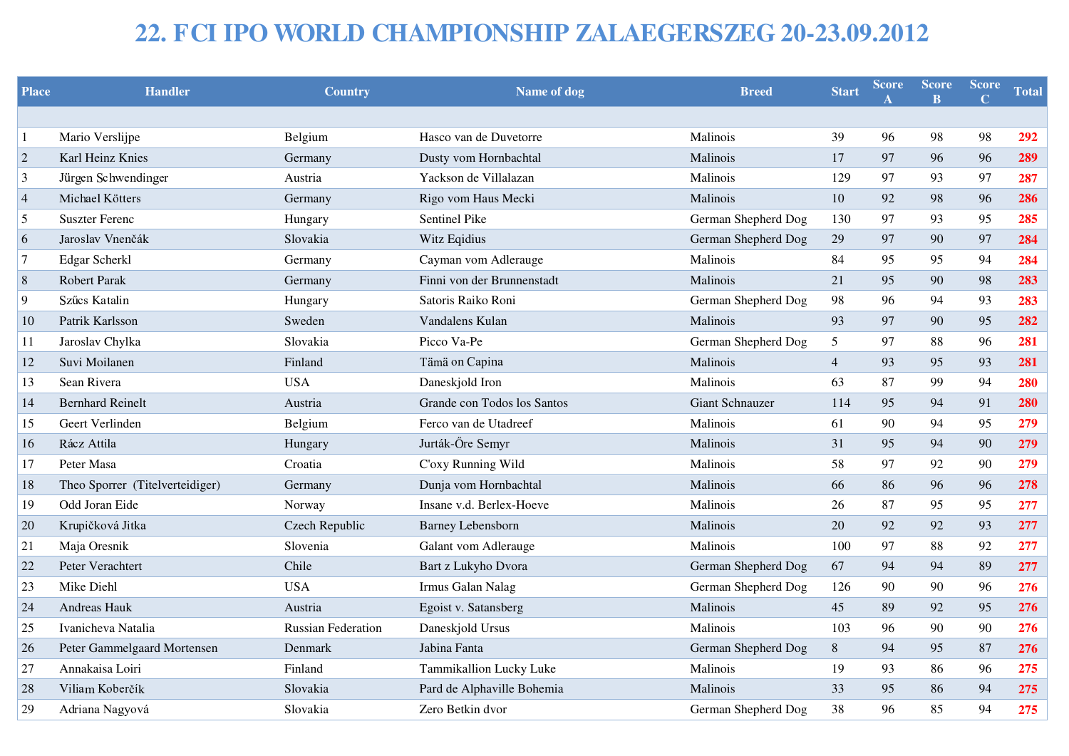## **22. FCI IPO WORLD CHAMPIONSHIP ZALAEGERSZEG 20-23.09.2012**

| <b>Place</b>     | <b>Handler</b>                  | <b>Country</b>            | Name of dog                 | <b>Breed</b>           |                | <b>Score</b> | <b>Score</b><br>$\mathbf{B}$ | <b>Score</b> | <b>Total</b> |
|------------------|---------------------------------|---------------------------|-----------------------------|------------------------|----------------|--------------|------------------------------|--------------|--------------|
|                  |                                 |                           |                             |                        |                |              |                              |              |              |
| $\mathbf{1}$     | Mario Verslijpe                 | Belgium                   | Hasco van de Duvetorre      | Malinois               | 39             | 96           | 98                           | 98           | 292          |
| $ 2\rangle$      | Karl Heinz Knies                | Germany                   | Dusty vom Hornbachtal       | Malinois               | 17             | 97           | 96                           | 96           | 289          |
| 3                | Jürgen Schwendinger             | Austria                   | Yackson de Villalazan       | Malinois               | 129            | 97           | 93                           | 97           | 287          |
| $\vert 4$        | Michael Kötters                 | Germany                   | Rigo vom Haus Mecki         | Malinois               | $10\,$         | 92           | 98                           | 96           | 286          |
| $\sqrt{5}$       | <b>Suszter Ferenc</b>           | Hungary                   | Sentinel Pike               | German Shepherd Dog    | 130            | 97           | 93                           | 95           | 285          |
| 6                | Jaroslav Vnenčák                | Slovakia                  | Witz Eqidius                | German Shepherd Dog    | 29             | 97           | 90                           | 97           | 284          |
| $\boldsymbol{7}$ | Edgar Scherkl                   | Germany                   | Cayman vom Adlerauge        | Malinois               | 84             | 95           | 95                           | 94           | 284          |
| $\,8\,$          | <b>Robert Parak</b>             | Germany                   | Finni von der Brunnenstadt  | Malinois               | 21             | 95           | 90                           | 98           | 283          |
| 9                | Szűcs Katalin                   | Hungary                   | Satoris Raiko Roni          | German Shepherd Dog    | 98             | 96           | 94                           | 93           | 283          |
| 10               | Patrik Karlsson                 | Sweden                    | Vandalens Kulan             | Malinois               | 93             | 97           | 90                           | 95           | 282          |
| 11               | Jaroslav Chylka                 | Slovakia                  | Picco Va-Pe                 | German Shepherd Dog    | $\mathfrak{S}$ | 97           | 88                           | 96           | 281          |
| 12               | Suvi Moilanen                   | Finland                   | Tämä on Capina              | Malinois               | $\overline{4}$ | 93           | 95                           | 93           | 281          |
| 13               | Sean Rivera                     | <b>USA</b>                | Daneskjold Iron             | Malinois               | 63             | 87           | 99                           | 94           | 280          |
| 14               | <b>Bernhard Reinelt</b>         | Austria                   | Grande con Todos los Santos | <b>Giant Schnauzer</b> | 114            | 95           | 94                           | 91           | 280          |
| 15               | Geert Verlinden                 | Belgium                   | Ferco van de Utadreef       | Malinois               | 61             | 90           | 94                           | 95           | 279          |
| 16               | Rácz Attila                     | Hungary                   | Jurták-Őre Semyr            | Malinois               | 31             | 95           | 94                           | 90           | 279          |
| 17               | Peter Masa                      | Croatia                   | C'oxy Running Wild          | Malinois               | 58             | 97           | 92                           | 90           | 279          |
| 18               | Theo Sporrer (Titelverteidiger) | Germany                   | Dunja vom Hornbachtal       | Malinois               | 66             | 86           | 96                           | 96           | 278          |
| 19               | Odd Joran Eide                  | Norway                    | Insane v.d. Berlex-Hoeve    | Malinois               | 26             | 87           | 95                           | 95           | 277          |
| 20               | Krupičková Jitka                | Czech Republic            | <b>Barney Lebensborn</b>    | Malinois               | 20             | 92           | 92                           | 93           | 277          |
| 21               | Maja Oresnik                    | Slovenia                  | Galant vom Adlerauge        | Malinois               | 100            | 97           | 88                           | 92           | 277          |
| 22               | Peter Verachtert                | Chile                     | Bart z Lukyho Dvora         | German Shepherd Dog    | 67             | 94           | 94                           | 89           | 277          |
| 23               | Mike Diehl                      | <b>USA</b>                | Irmus Galan Nalag           | German Shepherd Dog    | 126            | 90           | 90                           | 96           | 276          |
| 24               | Andreas Hauk                    | Austria                   | Egoist v. Satansberg        | Malinois               | 45             | 89           | 92                           | 95           | 276          |
| 25               | Ivanicheva Natalia              | <b>Russian Federation</b> | Daneskjold Ursus            | Malinois               | 103            | 96           | 90                           | 90           | 276          |
| 26               | Peter Gammelgaard Mortensen     | Denmark                   | Jabina Fanta                | German Shepherd Dog    | 8              | 94           | 95                           | 87           | 276          |
| $27\,$           | Annakaisa Loiri                 | Finland                   | Tammikallion Lucky Luke     | Malinois               | 19             | 93           | 86                           | 96           | 275          |
| 28               | Viliam Koberčík                 | Slovakia                  | Pard de Alphaville Bohemia  | Malinois               | 33             | 95           | 86                           | 94           | 275          |
| 29               | Adriana Nagyová                 | Slovakia                  | Zero Betkin dvor            | German Shepherd Dog    | 38             | 96           | 85                           | 94           | 275          |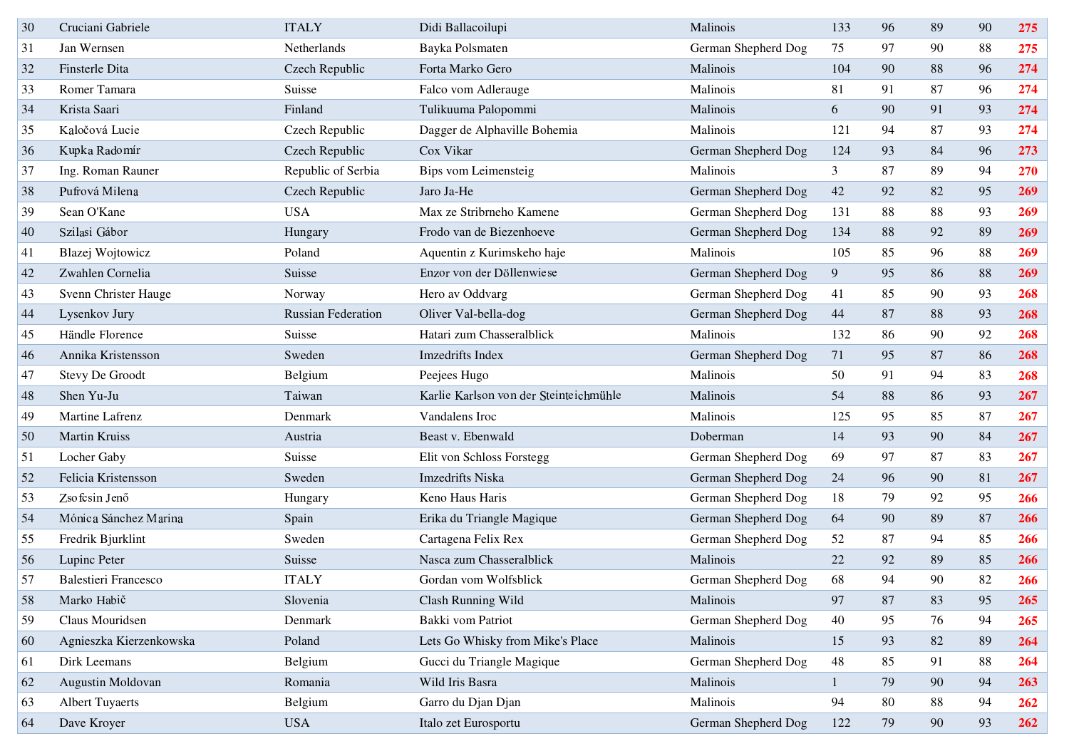| 30 | Cruciani Gabriele           | <b>ITALY</b>              | Didi Ballacoilupi                      | Malinois            | 133 | 96 | 89 | 90 | 275 |
|----|-----------------------------|---------------------------|----------------------------------------|---------------------|-----|----|----|----|-----|
| 31 | Jan Wernsen                 | Netherlands               | Bayka Polsmaten                        | German Shepherd Dog | 75  | 97 | 90 | 88 | 275 |
| 32 | Finsterle Dita              | Czech Republic            | Forta Marko Gero                       | Malinois            | 104 | 90 | 88 | 96 | 274 |
| 33 | Romer Tamara                | Suisse                    | Falco vom Adlerauge                    | Malinois            | 81  | 91 | 87 | 96 | 274 |
| 34 | Krista Saari                | Finland                   | Tulikuuma Palopommi                    | Malinois            | 6   | 90 | 91 | 93 | 274 |
| 35 | Kaločová Lucie              | Czech Republic            | Dagger de Alphaville Bohemia           | Malinois            | 121 | 94 | 87 | 93 | 274 |
| 36 | Kupka Radomír               | Czech Republic            | Cox Vikar                              | German Shepherd Dog | 124 | 93 | 84 | 96 | 273 |
| 37 | Ing. Roman Rauner           | Republic of Serbia        | Bips vom Leimensteig                   | Malinois            | 3   | 87 | 89 | 94 | 270 |
| 38 | Pufrová Milena              | Czech Republic            | Jaro Ja-He                             | German Shepherd Dog | 42  | 92 | 82 | 95 | 269 |
| 39 | Sean O'Kane                 | <b>USA</b>                | Max ze Stribrneho Kamene               | German Shepherd Dog | 131 | 88 | 88 | 93 | 269 |
| 40 | Szilasi Gábor               | Hungary                   | Frodo van de Biezenhoeve               | German Shepherd Dog | 134 | 88 | 92 | 89 | 269 |
| 41 | Blazej Wojtowicz            | Poland                    | Aquentin z Kurimskeho haje             | Malinois            | 105 | 85 | 96 | 88 | 269 |
| 42 | Zwahlen Cornelia            | Suisse                    | Enzor von der Döllenwiese              | German Shepherd Dog | 9   | 95 | 86 | 88 | 269 |
| 43 | Svenn Christer Hauge        | Norway                    | Hero av Oddvarg                        | German Shepherd Dog | 41  | 85 | 90 | 93 | 268 |
| 44 | Lysenkov Jury               | <b>Russian Federation</b> | Oliver Val-bella-dog                   | German Shepherd Dog | 44  | 87 | 88 | 93 | 268 |
| 45 | Händle Florence             | Suisse                    | Hatari zum Chasseralblick              | Malinois            | 132 | 86 | 90 | 92 | 268 |
| 46 | Annika Kristensson          | Sweden                    | Imzedrifts Index                       | German Shepherd Dog | 71  | 95 | 87 | 86 | 268 |
| 47 | <b>Stevy De Groodt</b>      | Belgium                   | Peejees Hugo                           | Malinois            | 50  | 91 | 94 | 83 | 268 |
| 48 | Shen Yu-Ju                  | Taiwan                    | Karlie Karlson von der Steinteichmühle | Malinois            | 54  | 88 | 86 | 93 | 267 |
| 49 | Martine Lafrenz             | Denmark                   | Vandalens Iroc                         | Malinois            | 125 | 95 | 85 | 87 | 267 |
| 50 | <b>Martin Kruiss</b>        | Austria                   | Beast v. Ebenwald                      | Doberman            | 14  | 93 | 90 | 84 | 267 |
| 51 | Locher Gaby                 | Suisse                    | Elit von Schloss Forstegg              | German Shepherd Dog | 69  | 97 | 87 | 83 | 267 |
| 52 | Felicia Kristensson         | Sweden                    | Imzedrifts Niska                       | German Shepherd Dog | 24  | 96 | 90 | 81 | 267 |
| 53 | Zsofcsin Jenő               | Hungary                   | Keno Haus Haris                        | German Shepherd Dog | 18  | 79 | 92 | 95 | 266 |
| 54 | Mónica Sánchez Marina       | Spain                     | Erika du Triangle Magique              | German Shepherd Dog | 64  | 90 | 89 | 87 | 266 |
| 55 | Fredrik Bjurklint           | Sweden                    | Cartagena Felix Rex                    | German Shepherd Dog | 52  | 87 | 94 | 85 | 266 |
| 56 | Lupinc Peter                | Suisse                    | Nasca zum Chasseralblick               | Malinois            | 22  | 92 | 89 | 85 | 266 |
| 57 | <b>Balestieri Francesco</b> | <b>ITALY</b>              | Gordan vom Wolfsblick                  | German Shepherd Dog | 68  | 94 | 90 | 82 | 266 |
| 58 | Marko Habič                 | Slovenia                  | Clash Running Wild                     | Malinois            | 97  | 87 | 83 | 95 | 265 |
| 59 | Claus Mouridsen             | Denmark                   | Bakki vom Patriot                      | German Shepherd Dog | 40  | 95 | 76 | 94 | 265 |
| 60 | Agnieszka Kierzenkowska     | Poland                    | Lets Go Whisky from Mike's Place       | Malinois            | 15  | 93 | 82 | 89 | 264 |
| 61 | Dirk Leemans                | Belgium                   | Gucci du Triangle Magique              | German Shepherd Dog | 48  | 85 | 91 | 88 | 264 |
| 62 | Augustin Moldovan           | Romania                   | Wild Iris Basra                        | Malinois            | 1   | 79 | 90 | 94 | 263 |
| 63 | <b>Albert Tuyaerts</b>      | Belgium                   | Garro du Djan Djan                     | Malinois            | 94  | 80 | 88 | 94 | 262 |
| 64 | Dave Kroyer                 | <b>USA</b>                | Italo zet Eurosportu                   | German Shepherd Dog | 122 | 79 | 90 | 93 | 262 |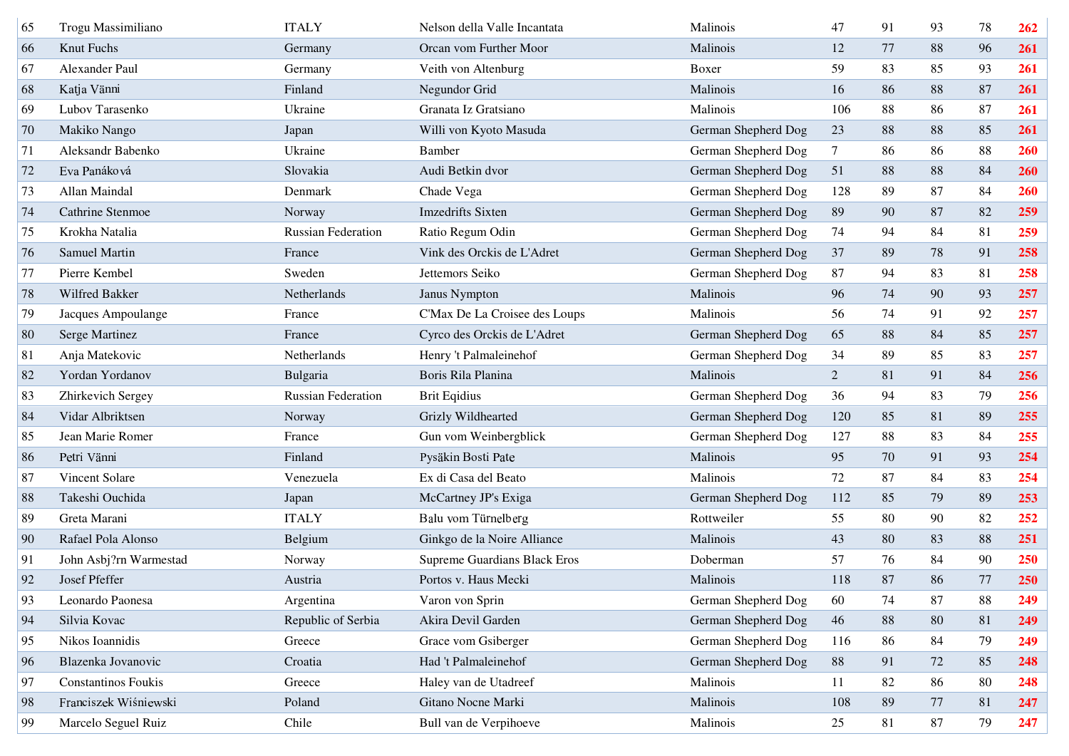| 65 | Trogu Massimiliano     | <b>ITALY</b>              | Nelson della Valle Incantata        | Malinois            | 47             | 91 | 93 | $78\,$ | 262 |
|----|------------------------|---------------------------|-------------------------------------|---------------------|----------------|----|----|--------|-----|
| 66 | Knut Fuchs             | Germany                   | Orcan vom Further Moor              | Malinois            | 12             | 77 | 88 | 96     | 261 |
| 67 | Alexander Paul         | Germany                   | Veith von Altenburg                 | Boxer               | 59             | 83 | 85 | 93     | 261 |
| 68 | Katja Vänni            | Finland                   | Negundor Grid                       | Malinois            | 16             | 86 | 88 | 87     | 261 |
| 69 | Lubov Tarasenko        | Ukraine                   | Granata Iz Gratsiano                | Malinois            | 106            | 88 | 86 | 87     | 261 |
| 70 | Makiko Nango           | Japan                     | Willi von Kyoto Masuda              | German Shepherd Dog | 23             | 88 | 88 | 85     | 261 |
| 71 | Aleksandr Babenko      | Ukraine                   | Bamber                              | German Shepherd Dog | $\tau$         | 86 | 86 | 88     | 260 |
| 72 | Eva Panáková           | Slovakia                  | Audi Betkin dvor                    | German Shepherd Dog | 51             | 88 | 88 | 84     | 260 |
| 73 | Allan Maindal          | Denmark                   | Chade Vega                          | German Shepherd Dog | 128            | 89 | 87 | 84     | 260 |
| 74 | Cathrine Stenmoe       | Norway                    | <b>Imzedrifts Sixten</b>            | German Shepherd Dog | 89             | 90 | 87 | 82     | 259 |
| 75 | Krokha Natalia         | <b>Russian Federation</b> | Ratio Regum Odin                    | German Shepherd Dog | 74             | 94 | 84 | 81     | 259 |
| 76 | Samuel Martin          | France                    | Vink des Orckis de L'Adret          | German Shepherd Dog | 37             | 89 | 78 | 91     | 258 |
| 77 | Pierre Kembel          | Sweden                    | Jettemors Seiko                     | German Shepherd Dog | 87             | 94 | 83 | 81     | 258 |
| 78 | Wilfred Bakker         | Netherlands               | Janus Nympton                       | Malinois            | 96             | 74 | 90 | 93     | 257 |
| 79 | Jacques Ampoulange     | France                    | C'Max De La Croisee des Loups       | Malinois            | 56             | 74 | 91 | 92     | 257 |
| 80 | Serge Martinez         | France                    | Cyrco des Orckis de L'Adret         | German Shepherd Dog | 65             | 88 | 84 | 85     | 257 |
| 81 | Anja Matekovic         | Netherlands               | Henry 't Palmaleinehof              | German Shepherd Dog | 34             | 89 | 85 | 83     | 257 |
| 82 | Yordan Yordanov        | Bulgaria                  | Boris Rila Planina                  | Malinois            | $\overline{2}$ | 81 | 91 | 84     | 256 |
| 83 | Zhirkevich Sergey      | <b>Russian Federation</b> | <b>Brit Eqidius</b>                 | German Shepherd Dog | 36             | 94 | 83 | 79     | 256 |
| 84 | Vidar Albriktsen       | Norway                    | Grizly Wildhearted                  | German Shepherd Dog | 120            | 85 | 81 | 89     | 255 |
| 85 | Jean Marie Romer       | France                    | Gun vom Weinbergblick               | German Shepherd Dog | 127            | 88 | 83 | 84     | 255 |
| 86 | Petri Vänni            | Finland                   | Pysäkin Bosti Pate                  | Malinois            | 95             | 70 | 91 | 93     | 254 |
| 87 | Vincent Solare         | Venezuela                 | Ex di Casa del Beato                | Malinois            | 72             | 87 | 84 | 83     | 254 |
| 88 | Takeshi Ouchida        | Japan                     | McCartney JP's Exiga                | German Shepherd Dog | 112            | 85 | 79 | 89     | 253 |
| 89 | Greta Marani           | <b>ITALY</b>              | Balu vom Türnelberg                 | Rottweiler          | 55             | 80 | 90 | 82     | 252 |
| 90 | Rafael Pola Alonso     | Belgium                   | Ginkgo de la Noire Alliance         | Malinois            | 43             | 80 | 83 | 88     | 251 |
| 91 | John Asbj?rn Warmestad | Norway                    | <b>Supreme Guardians Black Eros</b> | Doberman            | 57             | 76 | 84 | 90     | 250 |
| 92 | <b>Josef Pfeffer</b>   | Austria                   | Portos v. Haus Mecki                | Malinois            | 118            | 87 | 86 | 77     | 250 |
| 93 | Leonardo Paonesa       | Argentina                 | Varon von Sprin                     | German Shepherd Dog | 60             | 74 | 87 | 88     | 249 |
| 94 | Silvia Kovac           | Republic of Serbia        | Akira Devil Garden                  | German Shepherd Dog | $46\,$         | 88 | 80 | $81\,$ | 249 |
| 95 | Nikos Ioannidis        | Greece                    | Grace vom Gsiberger                 | German Shepherd Dog | 116            | 86 | 84 | 79     | 249 |
| 96 | Blazenka Jovanovic     | Croatia                   | Had 't Palmaleinehof                | German Shepherd Dog | 88             | 91 | 72 | 85     | 248 |
| 97 | Constantinos Foukis    | Greece                    | Haley van de Utadreef               | Malinois            | 11             | 82 | 86 | 80     | 248 |
| 98 | Franciszek Wiśniewski  | Poland                    | Gitano Nocne Marki                  | Malinois            | 108            | 89 | 77 | $81\,$ | 247 |
| 99 | Marcelo Seguel Ruiz    | Chile                     | Bull van de Verpihoeve              | Malinois            | 25             | 81 | 87 | 79     | 247 |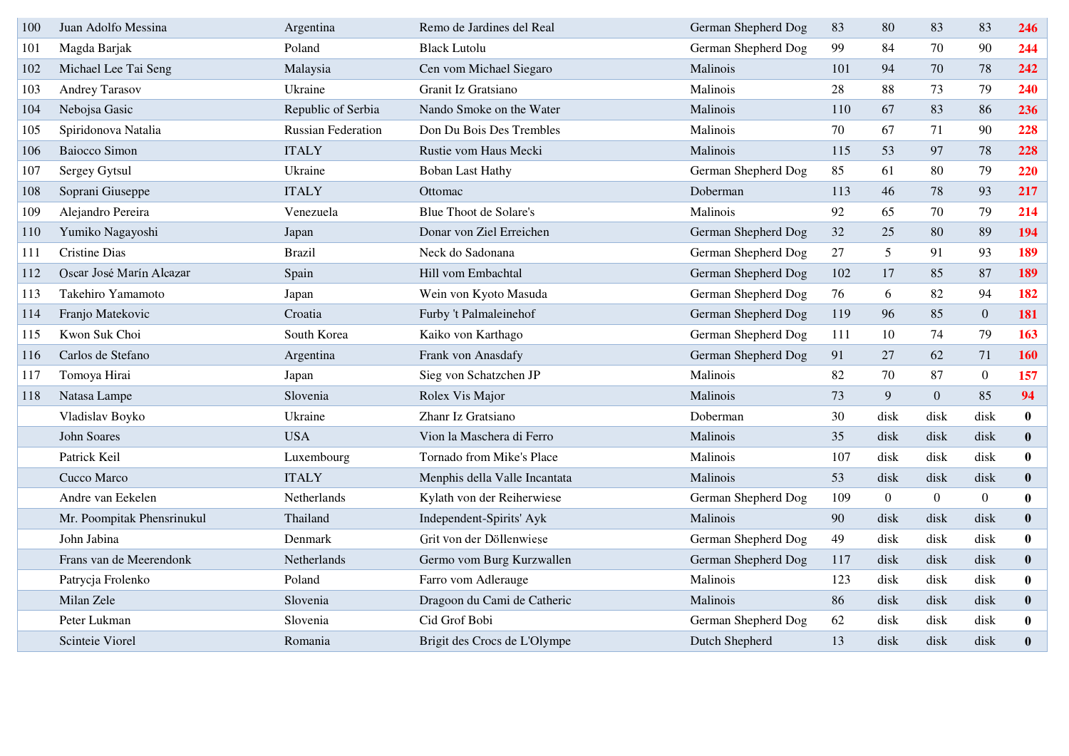| 100 | Juan Adolfo Messina        | Argentina                 | Remo de Jardines del Real     | German Shepherd Dog | 83  | 80               | 83             | 83               | 246              |
|-----|----------------------------|---------------------------|-------------------------------|---------------------|-----|------------------|----------------|------------------|------------------|
| 101 | Magda Barjak               | Poland                    | <b>Black Lutolu</b>           | German Shepherd Dog | 99  | 84               | 70             | 90               | 244              |
| 102 | Michael Lee Tai Seng       | Malaysia                  | Cen vom Michael Siegaro       | Malinois            | 101 | 94               | 70             | 78               | 242              |
| 103 | <b>Andrey Tarasov</b>      | Ukraine                   | Granit Iz Gratsiano           | Malinois            | 28  | 88               | 73             | 79               | 240              |
| 104 | Nebojsa Gasic              | Republic of Serbia        | Nando Smoke on the Water      | Malinois            | 110 | 67               | 83             | 86               | 236              |
| 105 | Spiridonova Natalia        | <b>Russian Federation</b> | Don Du Bois Des Trembles      | Malinois            | 70  | 67               | 71             | 90               | 228              |
| 106 | <b>Baiocco Simon</b>       | <b>ITALY</b>              | Rustie vom Haus Mecki         | Malinois            | 115 | 53               | 97             | 78               | 228              |
| 107 | Sergey Gytsul              | Ukraine                   | <b>Boban Last Hathy</b>       | German Shepherd Dog | 85  | 61               | 80             | 79               | 220              |
| 108 | Soprani Giuseppe           | <b>ITALY</b>              | Ottomac                       | Doberman            | 113 | 46               | 78             | 93               | 217              |
| 109 | Alejandro Pereira          | Venezuela                 | <b>Blue Thoot de Solare's</b> | Malinois            | 92  | 65               | 70             | 79               | 214              |
| 110 | Yumiko Nagayoshi           | Japan                     | Donar von Ziel Erreichen      | German Shepherd Dog | 32  | 25               | 80             | 89               | 194              |
| 111 | <b>Cristine Dias</b>       | <b>Brazil</b>             | Neck do Sadonana              | German Shepherd Dog | 27  | 5                | 91             | 93               | 189              |
| 112 | Oscar José Marín Alcazar   | Spain                     | Hill vom Embachtal            | German Shepherd Dog | 102 | 17               | 85             | 87               | 189              |
| 113 | Takehiro Yamamoto          | Japan                     | Wein von Kyoto Masuda         | German Shepherd Dog | 76  | 6                | 82             | 94               | 182              |
| 114 | Franjo Matekovic           | Croatia                   | Furby 't Palmaleinehof        | German Shepherd Dog | 119 | 96               | 85             | $\overline{0}$   | 181              |
| 115 | Kwon Suk Choi              | South Korea               | Kaiko von Karthago            | German Shepherd Dog | 111 | 10               | 74             | 79               | 163              |
| 116 | Carlos de Stefano          | Argentina                 | Frank von Anasdafy            | German Shepherd Dog | 91  | 27               | 62             | 71               | 160              |
| 117 | Tomoya Hirai               | Japan                     | Sieg von Schatzchen JP        | Malinois            | 82  | 70               | 87             | $\boldsymbol{0}$ | 157              |
| 118 | Natasa Lampe               | Slovenia                  | Rolex Vis Major               | Malinois            | 73  | 9                | $\overline{0}$ | 85               | 94               |
|     | Vladislav Boyko            | Ukraine                   | Zhanr Iz Gratsiano            | Doberman            | 30  | disk             | disk           | disk             | $\bf{0}$         |
|     | John Soares                | <b>USA</b>                | Vion la Maschera di Ferro     | Malinois            | 35  | disk             | disk           | disk             | $\pmb{0}$        |
|     | Patrick Keil               | Luxembourg                | Tornado from Mike's Place     | Malinois            | 107 | disk             | disk           | disk             | $\mathbf{0}$     |
|     | Cucco Marco                | <b>ITALY</b>              | Menphis della Valle Incantata | Malinois            | 53  | disk             | disk           | disk             | $\boldsymbol{0}$ |
|     | Andre van Eekelen          | Netherlands               | Kylath von der Reiherwiese    | German Shepherd Dog | 109 | $\boldsymbol{0}$ | $\overline{0}$ | $\overline{0}$   | $\bf{0}$         |
|     | Mr. Poompitak Phensrinukul | Thailand                  | Independent-Spirits' Ayk      | Malinois            | 90  | disk             | disk           | disk             | $\boldsymbol{0}$ |
|     | John Jabina                | Denmark                   | Grit von der Döllenwiese      | German Shepherd Dog | 49  | disk             | disk           | disk             | $\boldsymbol{0}$ |
|     | Frans van de Meerendonk    | Netherlands               | Germo vom Burg Kurzwallen     | German Shepherd Dog | 117 | disk             | disk           | disk             | $\bf{0}$         |
|     | Patrycja Frolenko          | Poland                    | Farro vom Adlerauge           | Malinois            | 123 | disk             | disk           | disk             | $\bf{0}$         |
|     | Milan Zele                 | Slovenia                  | Dragoon du Cami de Catheric   | Malinois            | 86  | disk             | disk           | disk             | $\boldsymbol{0}$ |
|     | Peter Lukman               | Slovenia                  | Cid Grof Bobi                 | German Shepherd Dog | 62  | disk             | disk           | disk             | $\bf{0}$         |
|     | Scinteie Viorel            | Romania                   | Brigit des Crocs de L'Olympe  | Dutch Shepherd      | 13  | disk             | disk           | disk             | $\bf{0}$         |